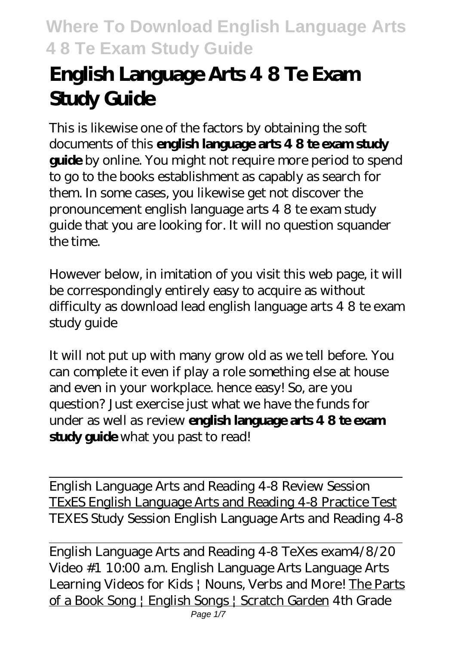# **English Language Arts 4 8 Te Exam Study Guide**

This is likewise one of the factors by obtaining the soft documents of this **english language arts 4 8 te exam study guide** by online. You might not require more period to spend to go to the books establishment as capably as search for them. In some cases, you likewise get not discover the pronouncement english language arts 4 8 te exam study guide that you are looking for. It will no question squander the time.

However below, in imitation of you visit this web page, it will be correspondingly entirely easy to acquire as without difficulty as download lead english language arts 4 8 te exam study guide

It will not put up with many grow old as we tell before. You can complete it even if play a role something else at house and even in your workplace. hence easy! So, are you question? Just exercise just what we have the funds for under as well as review **english language arts 4 8 te exam study guide** what you past to read!

English Language Arts and Reading 4-8 Review Session TExES English Language Arts and Reading 4-8 Practice Test *TEXES Study Session English Language Arts and Reading 4-8*

English Language Arts and Reading 4-8 TeXes exam*4/8/20 Video #1 10:00 a.m. English Language Arts* Language Arts Learning Videos for Kids | Nouns, Verbs and More! The Parts of a Book Song | English Songs | Scratch Garden *4th Grade*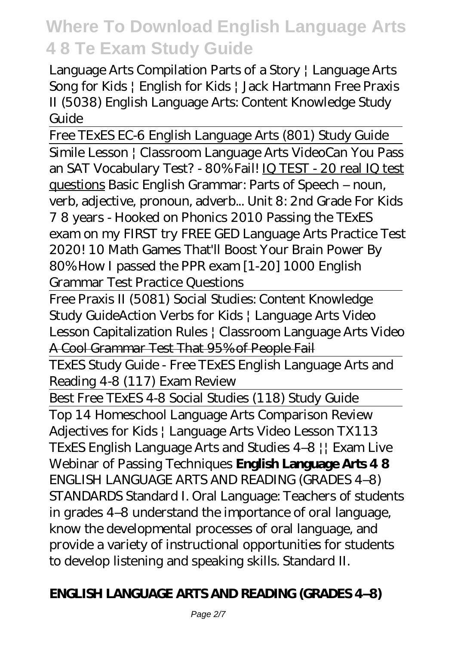*Language Arts Compilation Parts of a Story | Language Arts Song for Kids | English for Kids | Jack Hartmann Free Praxis II (5038) English Language Arts: Content Knowledge Study Guide*

Free TExES EC-6 English Language Arts (801) Study Guide Simile Lesson | Classroom Language Arts Video*Can You Pass an SAT Vocabulary Test? - 80% Fail!* IQ TEST - 20 real IQ test questions *Basic English Grammar: Parts of Speech – noun, verb, adjective, pronoun, adverb...* Unit 8: 2nd Grade For Kids 7 8 years - Hooked on Phonics 2010 *Passing the TExES exam on my FIRST try FREE GED Language Arts Practice Test 2020! 10 Math Games That'll Boost Your Brain Power By 80%* How I passed the PPR exam *[1-20] 1000 English Grammar Test Practice Questions*

Free Praxis II (5081) Social Studies: Content Knowledge Study Guide*Action Verbs for Kids | Language Arts Video Lesson Capitalization Rules | Classroom Language Arts Video* A Cool Grammar Test That 95% of People Fail

TExES Study Guide - Free TExES English Language Arts and Reading 4-8 (117) Exam Review

Best Free TExES 4-8 Social Studies (118) Study Guide

Top 14 Homeschool Language Arts Comparison Review *Adjectives for Kids | Language Arts Video Lesson TX113 TExES English Language Arts and Studies 4–8 || Exam Live Webinar of Passing Techniques* **English Language Arts 4 8** ENGLISH LANGUAGE ARTS AND READING (GRADES 4–8) STANDARDS Standard I. Oral Language: Teachers of students in grades 4–8 understand the importance of oral language, know the developmental processes of oral language, and provide a variety of instructional opportunities for students to develop listening and speaking skills. Standard II.

### **ENGLISH LANGUAGE ARTS AND READING (GRADES 4–8)**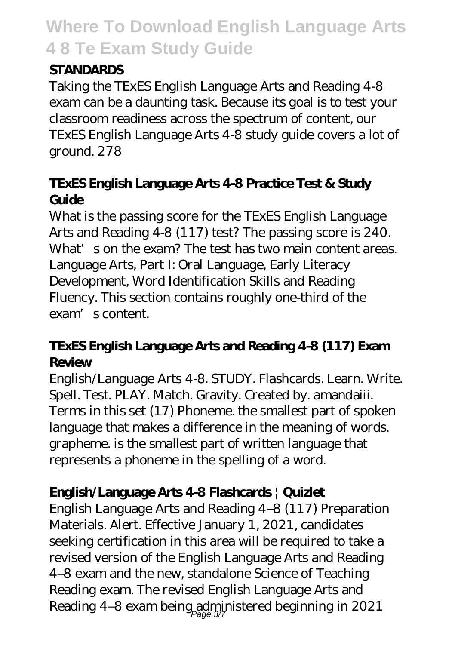#### **STANDARDS**

Taking the TExES English Language Arts and Reading 4-8 exam can be a daunting task. Because its goal is to test your classroom readiness across the spectrum of content, our TExES English Language Arts 4-8 study guide covers a lot of ground. 278

### **TExES English Language Arts 4-8 Practice Test & Study Guide**

What is the passing score for the TExES English Language Arts and Reading 4-8 (117) test? The passing score is 240. What's on the exam? The test has two main content areas. Language Arts, Part I: Oral Language, Early Literacy Development, Word Identification Skills and Reading Fluency. This section contains roughly one-third of the exam's content.

### **TExES English Language Arts and Reading 4-8 (117) Exam Review**

English/Language Arts 4-8. STUDY. Flashcards. Learn. Write. Spell. Test. PLAY. Match. Gravity. Created by. amandaiii. Terms in this set (17) Phoneme. the smallest part of spoken language that makes a difference in the meaning of words. grapheme. is the smallest part of written language that represents a phoneme in the spelling of a word.

### **English/Language Arts 4-8 Flashcards | Quizlet**

English Language Arts and Reading 4–8 (117) Preparation Materials. Alert. Effective January 1, 2021, candidates seeking certification in this area will be required to take a revised version of the English Language Arts and Reading 4–8 exam and the new, standalone Science of Teaching Reading exam. The revised English Language Arts and Reading 4–8 exam being administered beginning in 2021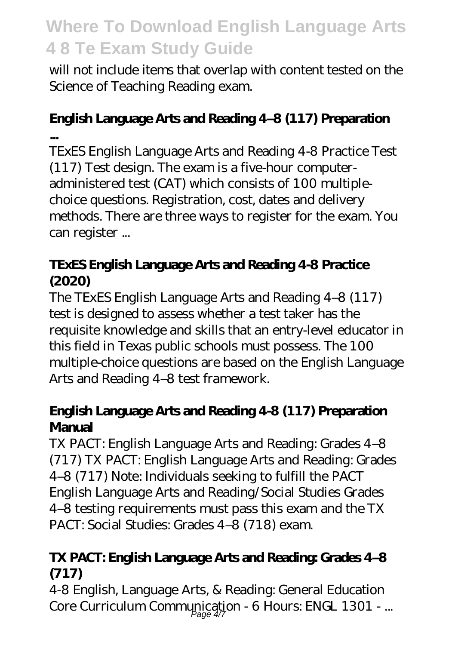will not include items that overlap with content tested on the Science of Teaching Reading exam.

#### **English Language Arts and Reading 4–8 (117) Preparation ...**

TExES English Language Arts and Reading 4-8 Practice Test (117) Test design. The exam is a five-hour computeradministered test (CAT) which consists of 100 multiplechoice questions. Registration, cost, dates and delivery methods. There are three ways to register for the exam. You can register ...

### **TExES English Language Arts and Reading 4-8 Practice (2020)**

The TExES English Language Arts and Reading 4–8 (117) test is designed to assess whether a test taker has the requisite knowledge and skills that an entry-level educator in this field in Texas public schools must possess. The 100 multiple-choice questions are based on the English Language Arts and Reading 4–8 test framework.

### **English Language Arts and Reading 4-8 (117) Preparation Manual**

TX PACT: English Language Arts and Reading: Grades 4–8 (717) TX PACT: English Language Arts and Reading: Grades 4–8 (717) Note: Individuals seeking to fulfill the PACT English Language Arts and Reading/Social Studies Grades 4–8 testing requirements must pass this exam and the TX PACT: Social Studies: Grades 4–8 (718) exam.

### **TX PACT: English Language Arts and Reading: Grades 4–8 (717)**

4-8 English, Language Arts, & Reading: General Education Core Curriculum Communication - 6 Hours: ENGL 1301 - ...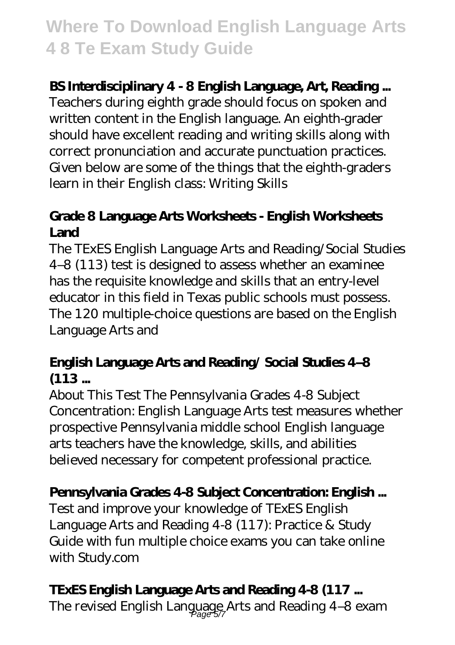### **BS Interdisciplinary 4 - 8 English Language, Art, Reading ...**

Teachers during eighth grade should focus on spoken and written content in the English language. An eighth-grader should have excellent reading and writing skills along with correct pronunciation and accurate punctuation practices. Given below are some of the things that the eighth-graders learn in their English class: Writing Skills

### **Grade 8 Language Arts Worksheets - English Worksheets Land**

The TExES English Language Arts and Reading/Social Studies 4–8 (113) test is designed to assess whether an examinee has the requisite knowledge and skills that an entry-level educator in this field in Texas public schools must possess. The 120 multiple-choice questions are based on the English Language Arts and

### **English Language Arts and Reading/ Social Studies 4–8 (113 ...**

About This Test The Pennsylvania Grades 4-8 Subject Concentration: English Language Arts test measures whether prospective Pennsylvania middle school English language arts teachers have the knowledge, skills, and abilities believed necessary for competent professional practice.

### **Pennsylvania Grades 4-8 Subject Concentration: English ...**

Test and improve your knowledge of TExES English Language Arts and Reading 4-8 (117): Practice & Study Guide with fun multiple choice exams you can take online with Study.com

### **TExES English Language Arts and Reading 4-8 (117 ...**

The revised English Language Arts and Reading 4-8 exam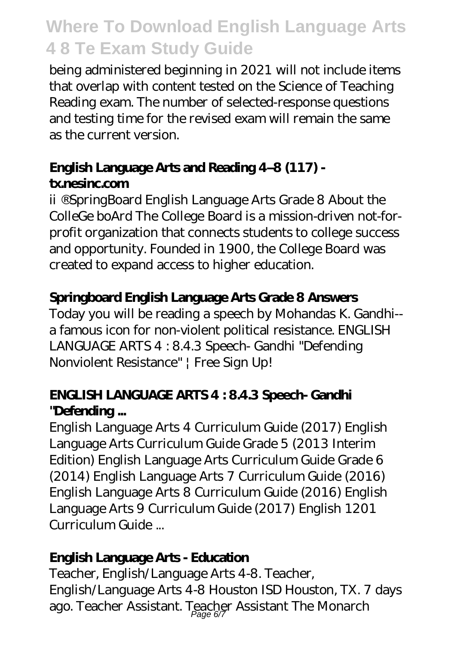being administered beginning in 2021 will not include items that overlap with content tested on the Science of Teaching Reading exam. The number of selected-response questions and testing time for the revised exam will remain the same as the current version.

### **English Language Arts and Reading 4–8 (117) tx.nesinc.com**

ii ®SpringBoard English Language Arts Grade 8 About the ColleGe boArd The College Board is a mission-driven not-forprofit organization that connects students to college success and opportunity. Founded in 1900, the College Board was created to expand access to higher education.

### **Springboard English Language Arts Grade 8 Answers**

Today you will be reading a speech by Mohandas K. Gandhi- a famous icon for non-violent political resistance. ENGLISH LANGUAGE ARTS 4 : 8.4.3 Speech- Gandhi "Defending Nonviolent Resistance" | Free Sign Up!

### **ENGLISH LANGUAGE ARTS 4 : 8.4.3 Speech- Gandhi "Defending ...**

English Language Arts 4 Curriculum Guide (2017) English Language Arts Curriculum Guide Grade 5 (2013 Interim Edition) English Language Arts Curriculum Guide Grade 6 (2014) English Language Arts 7 Curriculum Guide (2016) English Language Arts 8 Curriculum Guide (2016) English Language Arts 9 Curriculum Guide (2017) English 1201 Curriculum Guide ...

### **English Language Arts - Education**

Teacher, English/Language Arts 4-8. Teacher, English/Language Arts 4-8 Houston ISD Houston, TX. 7 days ago. Teacher Assistant. Teacher Assistant The Monarch